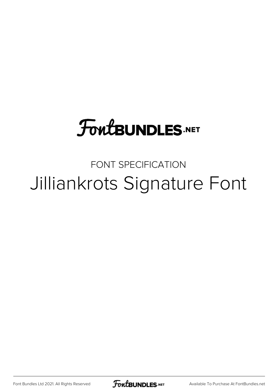## **FoutBUNDLES.NET**

## FONT SPECIFICATION Jilliankrots Signature Font

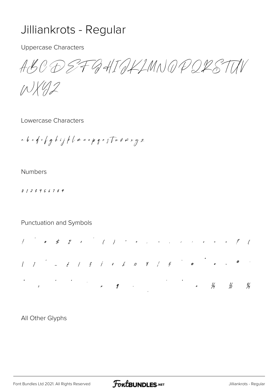## Jilliankrots - Regular

**Uppercase Characters** 

ABO DEFRAIAKLMNAPORSTIN

INX42

Lowercase Characters

a b c d c f g h i j f l m n o p g r s T u v w v y z

## **Numbers**

0123456789

Punctuation and Symbols



All Other Glyphs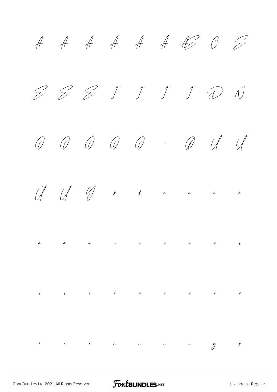À Á Â Ã Ä Å Æ Ç È É Ê Ë Ì Í Î Ï Ð Ñ  $\begin{array}{ccccccccccccccccccccc} \mathcal{O} & \mathcal{O} & \mathcal{O} & \mathcal{O} & \mathcal{O} & \mathcal{O} & \mathcal{O} & \mathcal{O} & \mathcal{O} & \mathcal{O} & \mathcal{O} & \mathcal{O} & \mathcal{O} & \mathcal{O} & \mathcal{O} & \mathcal{O} & \mathcal{O} & \mathcal{O} & \mathcal{O} & \mathcal{O} & \mathcal{O} & \mathcal{O} & \mathcal{O} & \mathcal{O} & \mathcal{O} & \mathcal{O} & \mathcal{O} & \mathcal{O} & \mathcal{O} & \mathcal{O$ Û Ü Ý Þ ß à á â ã ä å æ ç è é ê ë ì í î ï ð ñ ò ó ô õ ö ÷ ø ù ú û ü ý þ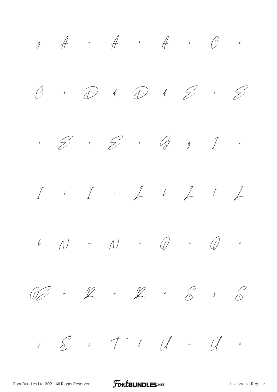$\tilde{y}$   $\tilde{A}$   $\tilde{A}$   $\tilde{A}$   $\tilde{C}$   $\tilde{c}$  $\emptyset$  i  $\emptyset$  i  $\emptyset$  i  $\emptyset$  i  $\emptyset$ ė Ę ę Ě ě Ğ ğ Ī ī Į į İ ı Ĺ ĺ Ľ ľ Ł  $t$   $\bigwedge^j$  *č*  $\bigwedge^j$   $\checkmark$   $\bigwedge^j$   $\bullet$   $\bigotimes^j$   $\circ$  $\widetilde{\mathbb{Z}}$  \*  $\widetilde{\mathbb{Z}}$  \*  $\widetilde{\mathbb{Z}}$  \*  $\widetilde{\mathbb{S}}$  \*  $\widetilde{\mathbb{S}}$  $s$   $s$   $\rightarrow$   $t$   $\vee$   $u$   $\vee$   $u$